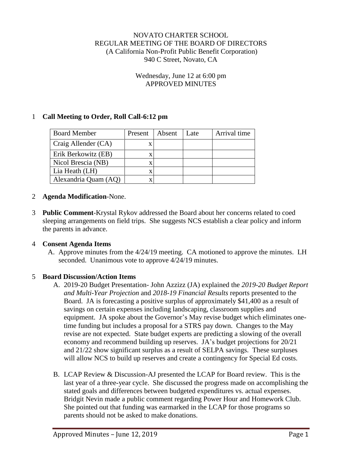#### NOVATO CHARTER SCHOOL REGULAR MEETING OF THE BOARD OF DIRECTORS (A California Non-Profit Public Benefit Corporation) 940 C Street, Novato, CA

#### Wednesday, June 12 at 6:00 pm APPROVED MINUTES

### 1 **Call Meeting to Order, Roll Call-6:12 pm**

| <b>Board Member</b>  | Present | Absent | Late | Arrival time |
|----------------------|---------|--------|------|--------------|
| Craig Allender (CA)  | X       |        |      |              |
| Erik Berkowitz (EB)  | x       |        |      |              |
| Nicol Brescia (NB)   | х       |        |      |              |
| Lia Heath (LH)       | X       |        |      |              |
| Alexandria Quam (AQ) | X       |        |      |              |

- 2 **Agenda Modification**-None.
- 3 **Public Comment**-Krystal Rykov addressed the Board about her concerns related to coed sleeping arrangements on field trips. She suggests NCS establish a clear policy and inform the parents in advance.

#### 4 **Consent Agenda Items**

A. Approve minutes from the 4/24/19 meeting. CA motioned to approve the minutes. LH seconded. Unanimous vote to approve 4/24/19 minutes.

#### 5 **Board Discussion/Action Items**

- A. 2019-20 Budget Presentation- John Azzizz (JA) explained the *2019-20 Budget Report and Multi-Year Projection* and *2018-19 Financial Results* reports presented to the Board. JA is forecasting a positive surplus of approximately \$41,400 as a result of savings on certain expenses including landscaping, classroom supplies and equipment. JA spoke about the Governor's May revise budget which eliminates onetime funding but includes a proposal for a STRS pay down. Changes to the May revise are not expected. State budget experts are predicting a slowing of the overall economy and recommend building up reserves. JA's budget projections for 20/21 and 21/22 show significant surplus as a result of SELPA savings. These surpluses will allow NCS to build up reserves and create a contingency for Special Ed costs.
- B. LCAP Review & Discussion-AJ presented the LCAP for Board review. This is the last year of a three-year cycle. She discussed the progress made on accomplishing the stated goals and differences between budgeted expenditures vs. actual expenses. Bridgit Nevin made a public comment regarding Power Hour and Homework Club. She pointed out that funding was earmarked in the LCAP for those programs so parents should not be asked to make donations.